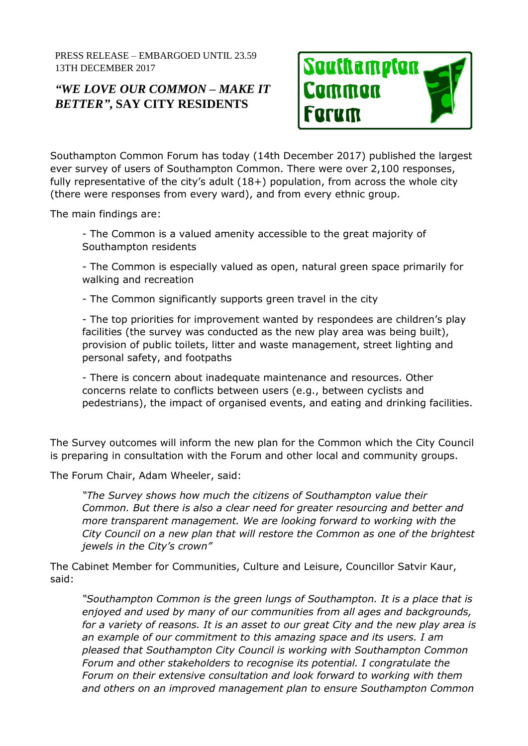PRESS RELEASE – EMBARGOED UNTIL 23.59 13TH DECEMBER 2017

## *"WE LOVE OUR COMMON – MAKE IT BETTER"***, SAY CITY RESIDENTS**



Southampton Common Forum has today (14th December 2017) published the largest ever survey of users of Southampton Common. There were over 2,100 responses, fully representative of the city's adult  $(18+)$  population, from across the whole city (there were responses from every ward), and from every ethnic group.

The main findings are:

- The Common is a valued amenity accessible to the great majority of Southampton residents

- The Common is especially valued as open, natural green space primarily for walking and recreation

- The Common significantly supports green travel in the city

- The top priorities for improvement wanted by respondees are children's play facilities (the survey was conducted as the new play area was being built), provision of public toilets, litter and waste management, street lighting and personal safety, and footpaths

- There is concern about inadequate maintenance and resources. Other concerns relate to conflicts between users (e.g., between cyclists and pedestrians), the impact of organised events, and eating and drinking facilities.

The Survey outcomes will inform the new plan for the Common which the City Council is preparing in consultation with the Forum and other local and community groups.

The Forum Chair, Adam Wheeler, said:

*"The Survey shows how much the citizens of Southampton value their Common. But there is also a clear need for greater resourcing and better and more transparent management. We are looking forward to working with the City Council on a new plan that will restore the Common as one of the brightest jewels in the City's crown"* 

The Cabinet Member for Communities, Culture and Leisure, Councillor Satvir Kaur, said:

*"Southampton Common is the green lungs of Southampton. It is a place that is enjoyed and used by many of our communities from all ages and backgrounds, for a variety of reasons. It is an asset to our great City and the new play area is an example of our commitment to this amazing space and its users. I am pleased that Southampton City Council is working with Southampton Common Forum and other stakeholders to recognise its potential. I congratulate the Forum on their extensive consultation and look forward to working with them and others on an improved management plan to ensure Southampton Common*